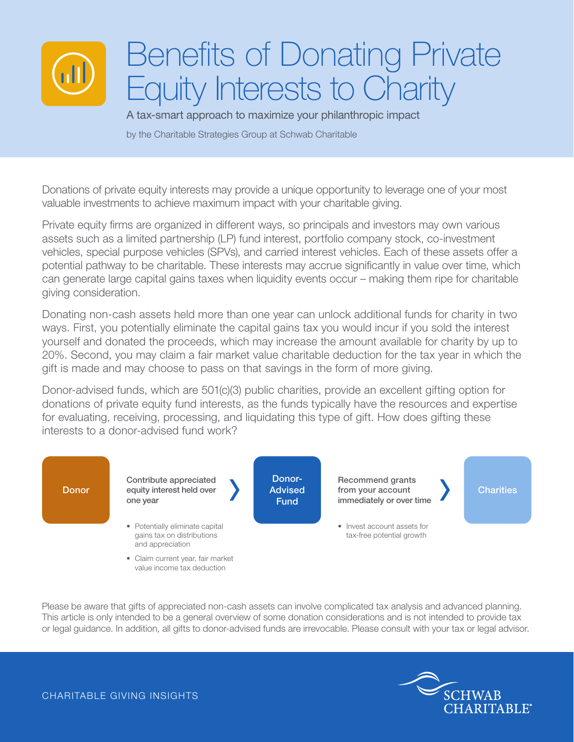

# Benefits of Donating Private Equity Interests to Charity

A tax-smart approach to maximize your philanthropic impact

by the Charitable Strategies Group at Schwab Charitable

Donations of private equity interests may provide a unique opportunity to leverage one of your most valuable investments to achieve maximum impact with your charitable giving.

Private equity firms are organized in different ways, so principals and investors may own various assets such as a limited partnership (LP) fund interest, portfolio company stock, co-investment vehicles, special purpose vehicles (SPVs), and carried interest vehicles. Each of these assets offer a potential pathway to be charitable. These interests may accrue significantly in value over time, which can generate large capital gains taxes when liquidity events occur – making them ripe for charitable giving consideration.

Donating non-cash assets held more than one year can unlock additional funds for charity in two ways. First, you potentially eliminate the capital gains tax you would incur if you sold the interest yourself and donated the proceeds, which may increase the amount available for charity by up to 20%. Second, you may claim a fair market value charitable deduction for the tax year in which the gift is made and may choose to pass on that savings in the form of more giving.

Donor-advised funds, which are 501(c)(3) public charities, provide an excellent gifting option for donations of private equity fund interests, as the funds typically have the resources and expertise for evaluating, receiving, processing, and liquidating this type of gift. How does gifting these interests to a donor-advised fund work?



Please be aware that gifts of appreciated non-cash assets can involve complicated tax analysis and advanced planning. This article is only intended to be a general overview of some donation considerations and is not intended to provide tax or legal guidance. In addition, all gifts to donor-advised funds are irrevocable. Please consult with your tax or legal advisor.



CHARITABLE GIVING INSIGHTS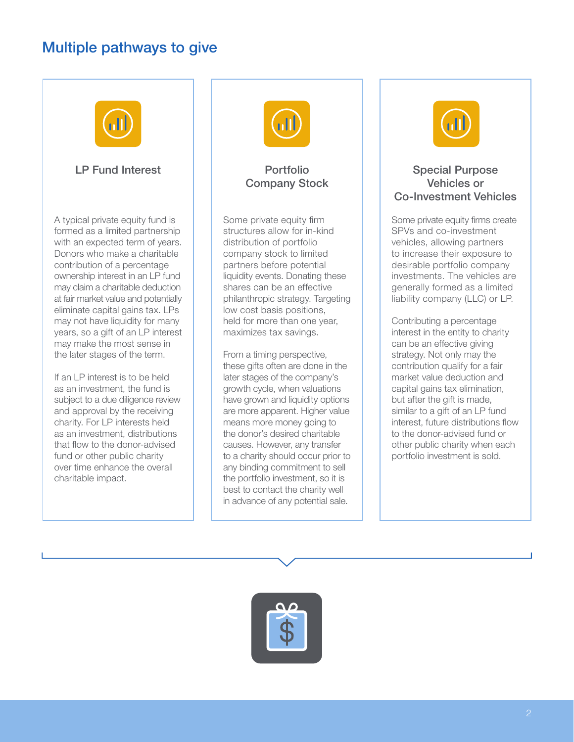# Multiple pathways to give



## LP Fund Interest

A typical private equity fund is formed as a limited partnership with an expected term of years. Donors who make a charitable contribution of a percentage ownership interest in an LP fund may claim a charitable deduction at fair market value and potentially eliminate capital gains tax. LPs may not have liquidity for many years, so a gift of an LP interest may make the most sense in the later stages of the term.

If an LP interest is to be held as an investment, the fund is subject to a due diligence review and approval by the receiving charity. For LP interests held as an investment, distributions that flow to the donor-advised fund or other public charity over time enhance the overall charitable impact.



# Portfolio Company Stock

Some private equity firm structures allow for in-kind distribution of portfolio company stock to limited partners before potential liquidity events. Donating these shares can be an effective philanthropic strategy. Targeting low cost basis positions, held for more than one year, maximizes tax savings.

From a timing perspective, these gifts often are done in the later stages of the company's growth cycle, when valuations have grown and liquidity options are more apparent. Higher value means more money going to the donor's desired charitable causes. However, any transfer to a charity should occur prior to any binding commitment to sell the portfolio investment, so it is best to contact the charity well in advance of any potential sale.



## Special Purpose Vehicles or Co-Investment Vehicles

Some private equity firms create SPVs and co-investment vehicles, allowing partners to increase their exposure to desirable portfolio company investments. The vehicles are generally formed as a limited liability company (LLC) or LP.

Contributing a percentage interest in the entity to charity can be an effective giving strategy. Not only may the contribution qualify for a fair market value deduction and capital gains tax elimination, but after the gift is made, similar to a gift of an LP fund interest, future distributions flow to the donor-advised fund or other public charity when each portfolio investment is sold.

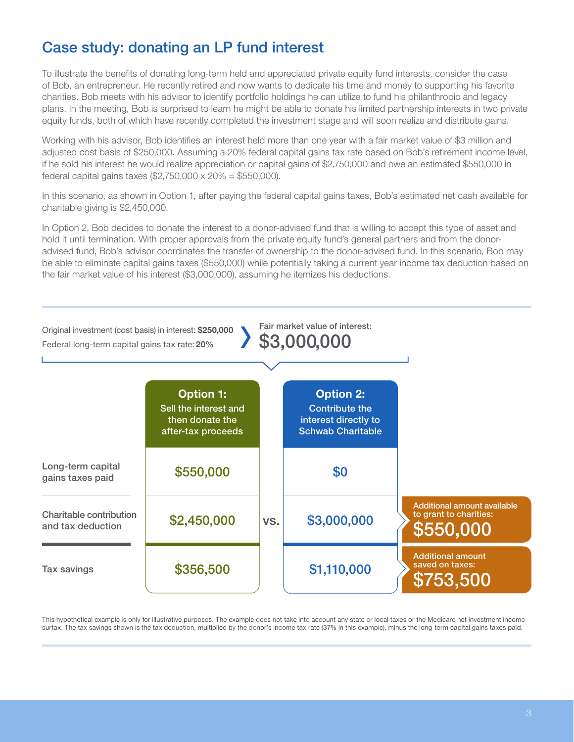# Case study: donating an LP fund interest

To illustrate the benefits of donating long-term held and appreciated private equity fund interests, consider the case of Bob, an entrepreneur. He recently retired and now wants to dedicate his time and money to supporting his favorite charities. Bob meets with his advisor to identify portfolio holdings he can utilize to fund his philanthropic and legacy plans. In the meeting, Bob is surprised to learn he might be able to donate his limited partnership interests in two private equity funds, both of which have recently completed the investment stage and will soon realize and distribute gains.

Working with his advisor, Bob identifies an interest held more than one year with a fair market value of \$3 million and adjusted cost basis of \$250,000. Assuming a 20% federal capital gains tax rate based on Bob's retirement income level, if he sold his interest he would realize appreciation or capital gains of \$2,750,000 and owe an estimated \$550,000 in federal capital gains taxes (\$2,750,000 x 20% = \$550,000).

In this scenario, as shown in Option 1, after paying the federal capital gains taxes, Bob's estimated net cash available for charitable giving is \$2,450,000.

In Option 2, Bob decides to donate the interest to a donor-advised fund that is willing to accept this type of asset and hold it until termination. With proper approvals from the private equity fund's general partners and from the donoradvised fund, Bob's advisor coordinates the transfer of ownership to the donor-advised fund. In this scenario, Bob may be able to eliminate capital gains taxes (\$550,000) while potentially taking a current year income tax deduction based on the fair market value of his interest (\$3,000,000), assuming he itemizes his deductions.

| Original investment (cost basis) in interest: \$250,000<br>Federal long-term capital gains tax rate: 20% |                                                                                    |     | Fair market value of interest:<br>\$3,000,000                                                 |                                                                    |
|----------------------------------------------------------------------------------------------------------|------------------------------------------------------------------------------------|-----|-----------------------------------------------------------------------------------------------|--------------------------------------------------------------------|
|                                                                                                          | <b>Option 1:</b><br>Sell the interest and<br>then donate the<br>after-tax proceeds |     | <b>Option 2:</b><br><b>Contribute the</b><br>interest directly to<br><b>Schwab Charitable</b> |                                                                    |
| Long-term capital<br>gains taxes paid                                                                    | \$550,000                                                                          |     | \$0                                                                                           |                                                                    |
| Charitable contribution<br>and tax deduction                                                             | \$2,450,000                                                                        | VS. | \$3,000,000                                                                                   | Additional amount available<br>to grant to charities:<br>\$550,000 |
| <b>Tax savings</b>                                                                                       | \$356,500                                                                          |     | \$1,110,000                                                                                   | <b>Additional amount</b><br>saved on taxes:<br>\$753,500           |

This hypothetical example is only for illustrative purposes. The example does not take into account any state or local taxes or the Medicare net investment income surtax. The tax savings shown is the tax deduction, multiplied by the donor's income tax rate (37% in this example), minus the long-term capital gains taxes paid.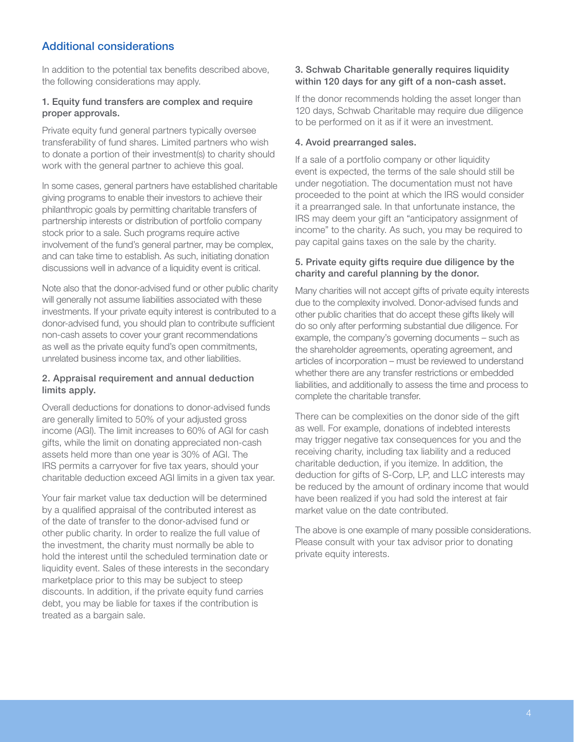## Additional considerations

In addition to the potential tax benefits described above, the following considerations may apply.

#### 1. Equity fund transfers are complex and require proper approvals.

Private equity fund general partners typically oversee transferability of fund shares. Limited partners who wish to donate a portion of their investment(s) to charity should work with the general partner to achieve this goal.

In some cases, general partners have established charitable giving programs to enable their investors to achieve their philanthropic goals by permitting charitable transfers of partnership interests or distribution of portfolio company stock prior to a sale. Such programs require active involvement of the fund's general partner, may be complex, and can take time to establish. As such, initiating donation discussions well in advance of a liquidity event is critical.

Note also that the donor-advised fund or other public charity will generally not assume liabilities associated with these investments. If your private equity interest is contributed to a donor-advised fund, you should plan to contribute sufficient non-cash assets to cover your grant recommendations as well as the private equity fund's open commitments, unrelated business income tax, and other liabilities.

#### 2. Appraisal requirement and annual deduction limits apply.

Overall deductions for donations to donor-advised funds are generally limited to 50% of your adjusted gross income (AGI). The limit increases to 60% of AGI for cash gifts, while the limit on donating appreciated non-cash assets held more than one year is 30% of AGI. The IRS permits a carryover for five tax years, should your charitable deduction exceed AGI limits in a given tax year.

Your fair market value tax deduction will be determined by a qualified appraisal of the contributed interest as of the date of transfer to the donor-advised fund or other public charity. In order to realize the full value of the investment, the charity must normally be able to hold the interest until the scheduled termination date or liquidity event. Sales of these interests in the secondary marketplace prior to this may be subject to steep discounts. In addition, if the private equity fund carries debt, you may be liable for taxes if the contribution is treated as a bargain sale.

#### 3. Schwab Charitable generally requires liquidity within 120 days for any gift of a non-cash asset.

If the donor recommends holding the asset longer than 120 days, Schwab Charitable may require due diligence to be performed on it as if it were an investment.

#### 4. Avoid prearranged sales.

If a sale of a portfolio company or other liquidity event is expected, the terms of the sale should still be under negotiation. The documentation must not have proceeded to the point at which the IRS would consider it a prearranged sale. In that unfortunate instance, the IRS may deem your gift an "anticipatory assignment of income" to the charity. As such, you may be required to pay capital gains taxes on the sale by the charity.

#### 5. Private equity gifts require due diligence by the charity and careful planning by the donor.

Many charities will not accept gifts of private equity interests due to the complexity involved. Donor-advised funds and other public charities that do accept these gifts likely will do so only after performing substantial due diligence. For example, the company's governing documents – such as the shareholder agreements, operating agreement, and articles of incorporation – must be reviewed to understand whether there are any transfer restrictions or embedded liabilities, and additionally to assess the time and process to complete the charitable transfer.

There can be complexities on the donor side of the gift as well. For example, donations of indebted interests may trigger negative tax consequences for you and the receiving charity, including tax liability and a reduced charitable deduction, if you itemize. In addition, the deduction for gifts of S-Corp, LP, and LLC interests may be reduced by the amount of ordinary income that would have been realized if you had sold the interest at fair market value on the date contributed.

The above is one example of many possible considerations. Please consult with your tax advisor prior to donating private equity interests.